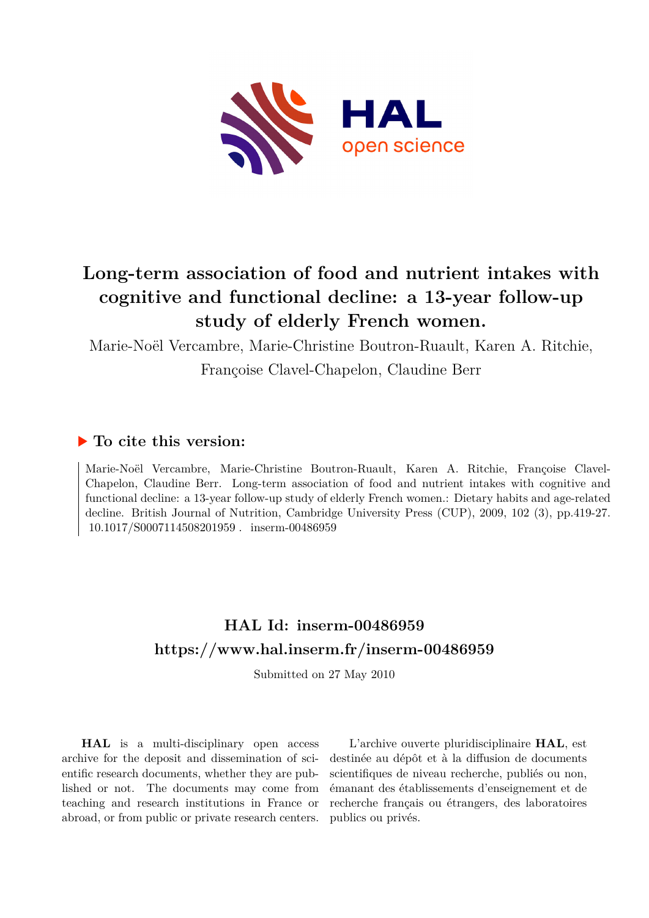

# **Long-term association of food and nutrient intakes with cognitive and functional decline: a 13-year follow-up study of elderly French women.**

Marie-Noël Vercambre, Marie-Christine Boutron-Ruault, Karen A. Ritchie,

Françoise Clavel-Chapelon, Claudine Berr

# **To cite this version:**

Marie-Noël Vercambre, Marie-Christine Boutron-Ruault, Karen A. Ritchie, Françoise Clavel-Chapelon, Claudine Berr. Long-term association of food and nutrient intakes with cognitive and functional decline: a 13-year follow-up study of elderly French women.: Dietary habits and age-related decline. British Journal of Nutrition, Cambridge University Press (CUP), 2009, 102 (3), pp.419-27.  $10.1017/S0007114508201959$ . inserm-00486959

# **HAL Id: inserm-00486959 <https://www.hal.inserm.fr/inserm-00486959>**

Submitted on 27 May 2010

**HAL** is a multi-disciplinary open access archive for the deposit and dissemination of scientific research documents, whether they are published or not. The documents may come from teaching and research institutions in France or abroad, or from public or private research centers.

L'archive ouverte pluridisciplinaire **HAL**, est destinée au dépôt et à la diffusion de documents scientifiques de niveau recherche, publiés ou non, émanant des établissements d'enseignement et de recherche français ou étrangers, des laboratoires publics ou privés.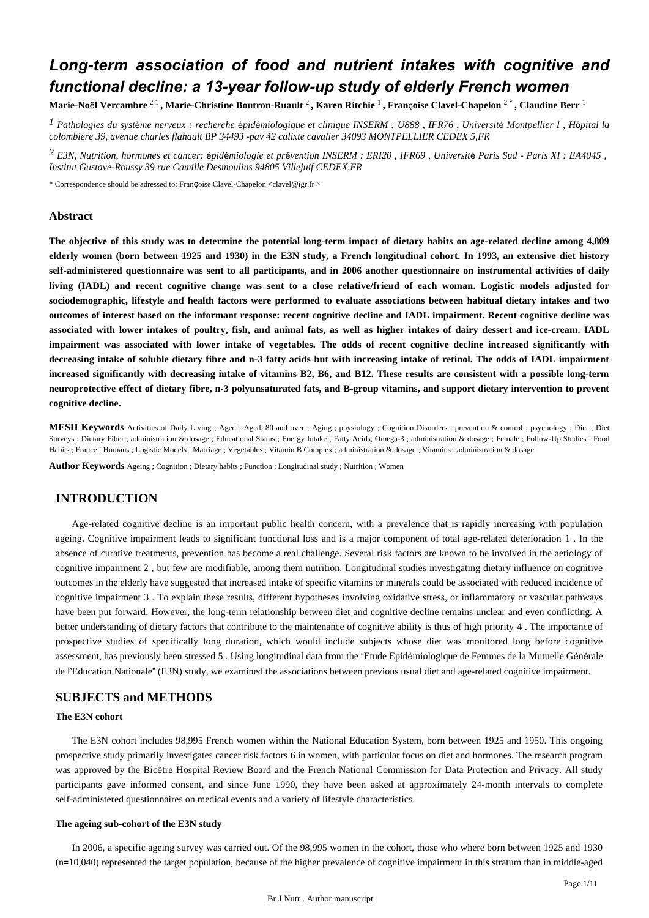# *Long-term association of food and nutrient intakes with cognitive and functional decline: a 13-year follow-up study of elderly French women*

**Marie-No**ë**l Vercambre** 2 1 **, Marie-Christine Boutron-Ruault** <sup>2</sup> **, Karen Ritchie** <sup>1</sup> **, Fran**ç**oise Clavel-Chapelon** 2 \* **, Claudine Berr** <sup>1</sup>

*Pathologies du syst me nerveux : recherche pid miologique et clinique 1* <sup>è</sup> <sup>é</sup> <sup>é</sup> *INSERM : U888 , IFR76 , Universit*é *Montpellier I , H*ô*pital la colombiere 39, avenue charles flahault BP 34493 -pav 42 calixte cavalier 34093 MONTPELLIER CEDEX 5,FR*

*E3N, Nutrition, hormones et cancer: pid miologie et pr vention 2* <sup>é</sup> <sup>é</sup> <sup>é</sup> *INSERM : ERI20 , IFR69 , Universit*é *Paris Sud - Paris XI : EA4045 , Institut Gustave-Roussy 39 rue Camille Desmoulins 94805 Villejuif CEDEX,FR*

\* Correspondence should be adressed to: Françoise Clavel-Chapelon <clavel@igr.fr >

#### **Abstract**

**The objective of this study was to determine the potential long-term impact of dietary habits on age-related decline among 4,809 elderly women (born between 1925 and 1930) in the E3N study, a French longitudinal cohort. In 1993, an extensive diet history self-administered questionnaire was sent to all participants, and in 2006 another questionnaire on instrumental activities of daily living (IADL) and recent cognitive change was sent to a close relative/friend of each woman. Logistic models adjusted for sociodemographic, lifestyle and health factors were performed to evaluate associations between habitual dietary intakes and two outcomes of interest based on the informant response: recent cognitive decline and IADL impairment. Recent cognitive decline was associated with lower intakes of poultry, fish, and animal fats, as well as higher intakes of dairy dessert and ice-cream. IADL impairment was associated with lower intake of vegetables. The odds of recent cognitive decline increased significantly with decreasing intake of soluble dietary fibre and n-3 fatty acids but with increasing intake of retinol. The odds of IADL impairment increased significantly with decreasing intake of vitamins B2, B6, and B12. These results are consistent with a possible long-term neuroprotective effect of dietary fibre, n-3 polyunsaturated fats, and B-group vitamins, and support dietary intervention to prevent cognitive decline.**

MESH Keywords Activities of Daily Living ; Aged ; Aged, 80 and over ; Aging ; physiology ; Cognition Disorders ; prevention & control ; psychology ; Diet ; Diet Surveys ; Dietary Fiber ; administration & dosage ; Educational Status ; Energy Intake ; Fatty Acids, Omega-3 ; administration & dosage ; Female ; Follow-Up Studies ; Food Habits ; France ; Humans ; Logistic Models ; Marriage ; Vegetables ; Vitamin B Complex ; administration & dosage ; Vitamins ; administration & dosage

**Author Keywords** Ageing ; Cognition ; Dietary habits ; Function ; Longitudinal study ; Nutrition ; Women

## **INTRODUCTION**

Age-related cognitive decline is an important public health concern, with a prevalence that is rapidly increasing with population ageing. Cognitive impairment leads to significant functional loss and is a major component of total age-related deterioration 1 . In the absence of curative treatments, prevention has become a real challenge. Several risk factors are known to be involved in the aetiology of cognitive impairment 2 , but few are modifiable, among them nutrition. Longitudinal studies investigating dietary influence on cognitive outcomes in the elderly have suggested that increased intake of specific vitamins or minerals could be associated with reduced incidence of cognitive impairment 3 . To explain these results, different hypotheses involving oxidative stress, or inflammatory or vascular pathways have been put forward. However, the long-term relationship between diet and cognitive decline remains unclear and even conflicting. A better understanding of dietary factors that contribute to the maintenance of cognitive ability is thus of high priority 4 . The importance of prospective studies of specifically long duration, which would include subjects whose diet was monitored long before cognitive assessment, has previously been stressed 5 . Using longitudinal data from the "Etude Epidémiologique de Femmes de la Mutuelle Générale de l'Education Nationale" (E3N) study, we examined the associations between previous usual diet and age-related cognitive impairment.

# **SUBJECTS and METHODS**

#### **The E3N cohort**

The E3N cohort includes 98,995 French women within the National Education System, born between 1925 and 1950. This ongoing prospective study primarily investigates cancer risk factors 6 in women, with particular focus on diet and hormones. The research program was approved by the Bicêtre Hospital Review Board and the French National Commission for Data Protection and Privacy. All study participants gave informed consent, and since June 1990, they have been asked at approximately 24-month intervals to complete self-administered questionnaires on medical events and a variety of lifestyle characteristics.

#### **The ageing sub-cohort of the E3N study**

In 2006, a specific ageing survey was carried out. Of the 98,995 women in the cohort, those who where born between 1925 and 1930 (n=10,040) represented the target population, because of the higher prevalence of cognitive impairment in this stratum than in middle-aged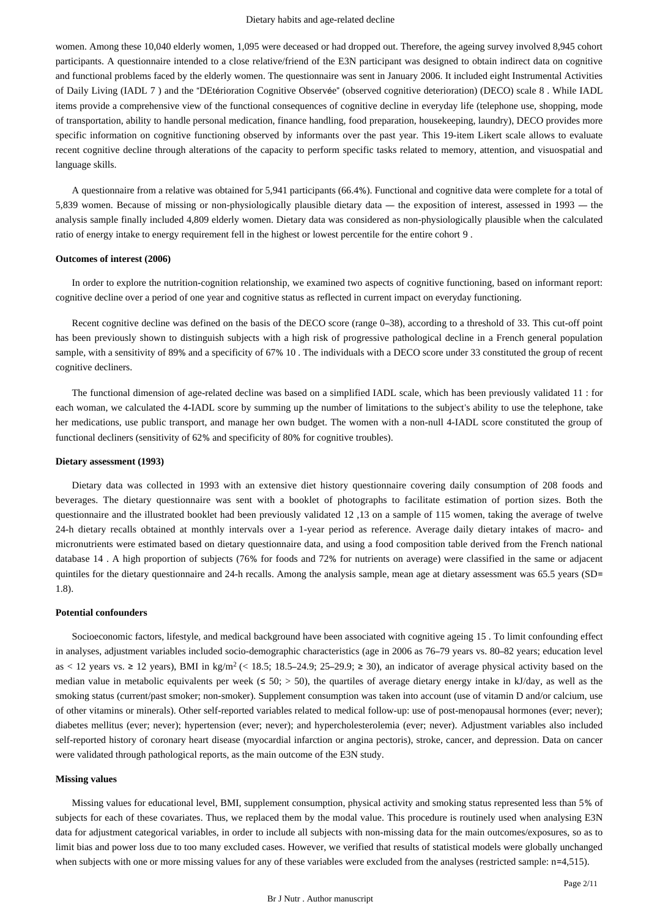women. Among these 10,040 elderly women, 1,095 were deceased or had dropped out. Therefore, the ageing survey involved 8,945 cohort participants. A questionnaire intended to a close relative/friend of the E3N participant was designed to obtain indirect data on cognitive and functional problems faced by the elderly women. The questionnaire was sent in January 2006. It included eight Instrumental Activities of Daily Living (IADL 7 ) and the "DEtérioration Cognitive Observée" (observed cognitive deterioration) (DECO) scale 8 . While IADL items provide a comprehensive view of the functional consequences of cognitive decline in everyday life (telephone use, shopping, mode of transportation, ability to handle personal medication, finance handling, food preparation, housekeeping, laundry), DECO provides more specific information on cognitive functioning observed by informants over the past year. This 19-item Likert scale allows to evaluate recent cognitive decline through alterations of the capacity to perform specific tasks related to memory, attention, and visuospatial and language skills.

A questionnaire from a relative was obtained for 5,941 participants (66.4%). Functional and cognitive data were complete for a total of 5,839 women. Because of missing or non-physiologically plausible dietary data — the exposition of interest, assessed in 1993 — the analysis sample finally included 4,809 elderly women. Dietary data was considered as non-physiologically plausible when the calculated ratio of energy intake to energy requirement fell in the highest or lowest percentile for the entire cohort 9 .

#### **Outcomes of interest (2006)**

In order to explore the nutrition-cognition relationship, we examined two aspects of cognitive functioning, based on informant report: cognitive decline over a period of one year and cognitive status as reflected in current impact on everyday functioning.

Recent cognitive decline was defined on the basis of the DECO score (range 0–38), according to a threshold of 33. This cut-off point has been previously shown to distinguish subjects with a high risk of progressive pathological decline in a French general population sample, with a sensitivity of 89% and a specificity of 67% 10 . The individuals with a DECO score under 33 constituted the group of recent cognitive decliners.

The functional dimension of age-related decline was based on a simplified IADL scale, which has been previously validated 11 : for each woman, we calculated the 4-IADL score by summing up the number of limitations to the subject's ability to use the telephone, take her medications, use public transport, and manage her own budget. The women with a non-null 4-IADL score constituted the group of functional decliners (sensitivity of 62% and specificity of 80% for cognitive troubles).

#### **Dietary assessment (1993)**

Dietary data was collected in 1993 with an extensive diet history questionnaire covering daily consumption of 208 foods and beverages. The dietary questionnaire was sent with a booklet of photographs to facilitate estimation of portion sizes. Both the questionnaire and the illustrated booklet had been previously validated 12 ,13 on a sample of 115 women, taking the average of twelve 24-h dietary recalls obtained at monthly intervals over a 1-year period as reference. Average daily dietary intakes of macro- and micronutrients were estimated based on dietary questionnaire data, and using a food composition table derived from the French national database 14 . A high proportion of subjects (76% for foods and 72% for nutrients on average) were classified in the same or adjacent quintiles for the dietary questionnaire and 24-h recalls. Among the analysis sample, mean age at dietary assessment was 65.5 years (SD= 1.8).

#### **Potential confounders**

Socioeconomic factors, lifestyle, and medical background have been associated with cognitive ageing 15 . To limit confounding effect in analyses, adjustment variables included socio-demographic characteristics (age in 2006 as 76–79 years vs. 80–82 years; education level as < 12 years vs. ≥ 12 years), BMI in kg/m<sup>2</sup> (< 18.5; 18.5–24.9; 25–29.9; ≥ 30), an indicator of average physical activity based on the median value in metabolic equivalents per week ( $\leq 50$ ;  $> 50$ ), the quartiles of average dietary energy intake in kJ/day, as well as the smoking status (current/past smoker; non-smoker). Supplement consumption was taken into account (use of vitamin D and/or calcium, use of other vitamins or minerals). Other self-reported variables related to medical follow-up: use of post-menopausal hormones (ever; never); diabetes mellitus (ever; never); hypertension (ever; never); and hypercholesterolemia (ever; never). Adjustment variables also included self-reported history of coronary heart disease (myocardial infarction or angina pectoris), stroke, cancer, and depression. Data on cancer were validated through pathological reports, as the main outcome of the E3N study.

#### **Missing values**

Missing values for educational level, BMI, supplement consumption, physical activity and smoking status represented less than 5% of subjects for each of these covariates. Thus, we replaced them by the modal value. This procedure is routinely used when analysing E3N data for adjustment categorical variables, in order to include all subjects with non-missing data for the main outcomes/exposures, so as to limit bias and power loss due to too many excluded cases. However, we verified that results of statistical models were globally unchanged when subjects with one or more missing values for any of these variables were excluded from the analyses (restricted sample: n=4,515).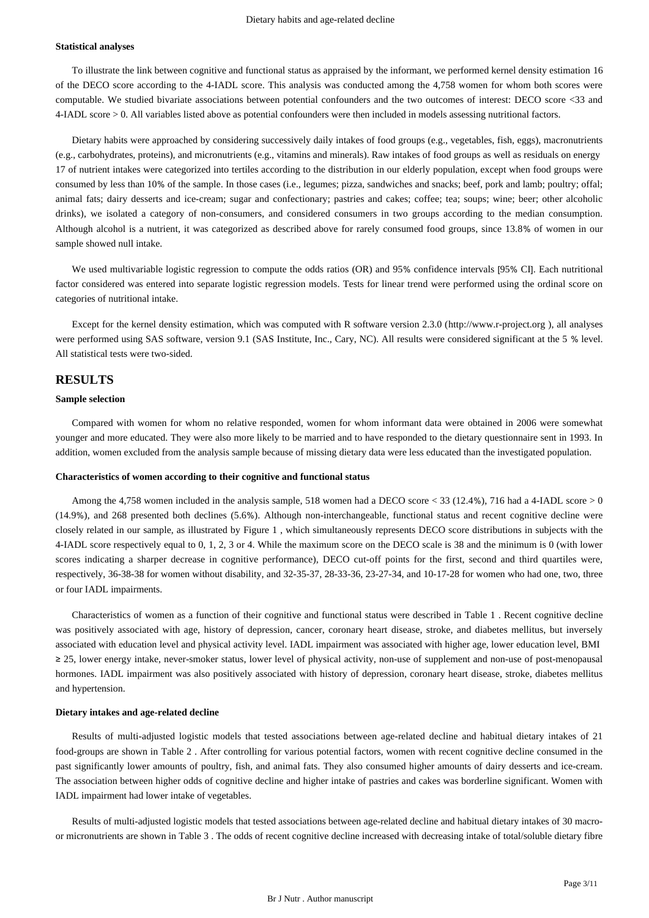#### **Statistical analyses**

To illustrate the link between cognitive and functional status as appraised by the informant, we performed kernel density estimation 16 of the DECO score according to the 4-IADL score. This analysis was conducted among the 4,758 women for whom both scores were computable. We studied bivariate associations between potential confounders and the two outcomes of interest: DECO score <33 and 4-IADL score > 0. All variables listed above as potential confounders were then included in models assessing nutritional factors.

Dietary habits were approached by considering successively daily intakes of food groups (e.g., vegetables, fish, eggs), macronutrients (e.g., carbohydrates, proteins), and micronutrients (e.g., vitamins and minerals). Raw intakes of food groups as well as residuals on energy 17 of nutrient intakes were categorized into tertiles according to the distribution in our elderly population, except when food groups were consumed by less than 10% of the sample. In those cases (i.e., legumes; pizza, sandwiches and snacks; beef, pork and lamb; poultry; offal; animal fats; dairy desserts and ice-cream; sugar and confectionary; pastries and cakes; coffee; tea; soups; wine; beer; other alcoholic drinks), we isolated a category of non-consumers, and considered consumers in two groups according to the median consumption. Although alcohol is a nutrient, it was categorized as described above for rarely consumed food groups, since 13.8% of women in our sample showed null intake.

We used multivariable logistic regression to compute the odds ratios (OR) and 95% confidence intervals [95% CI]. Each nutritional factor considered was entered into separate logistic regression models. Tests for linear trend were performed using the ordinal score on categories of nutritional intake.

Except for the kernel density estimation, which was computed with R software version 2.3.0 (http://www.r-project.org ), all analyses were performed using SAS software, version 9.1 (SAS Institute, Inc., Cary, NC). All results were considered significant at the 5 % level. All statistical tests were two-sided.

## **RESULTS**

### **Sample selection**

Compared with women for whom no relative responded, women for whom informant data were obtained in 2006 were somewhat younger and more educated. They were also more likely to be married and to have responded to the dietary questionnaire sent in 1993. In addition, women excluded from the analysis sample because of missing dietary data were less educated than the investigated population.

#### **Characteristics of women according to their cognitive and functional status**

Among the 4,758 women included in the analysis sample, 518 women had a DECO score  $< 33$  (12.4%), 716 had a 4-IADL score  $> 0$ (14.9%), and 268 presented both declines (5.6%). Although non-interchangeable, functional status and recent cognitive decline were closely related in our sample, as illustrated by Figure 1 , which simultaneously represents DECO score distributions in subjects with the 4-IADL score respectively equal to 0, 1, 2, 3 or 4. While the maximum score on the DECO scale is 38 and the minimum is 0 (with lower scores indicating a sharper decrease in cognitive performance), DECO cut-off points for the first, second and third quartiles were, respectively, 36-38-38 for women without disability, and 32-35-37, 28-33-36, 23-27-34, and 10-17-28 for women who had one, two, three or four IADL impairments.

Characteristics of women as a function of their cognitive and functional status were described in Table 1 . Recent cognitive decline was positively associated with age, history of depression, cancer, coronary heart disease, stroke, and diabetes mellitus, but inversely associated with education level and physical activity level. IADL impairment was associated with higher age, lower education level, BMI ≥ 25, lower energy intake, never-smoker status, lower level of physical activity, non-use of supplement and non-use of post-menopausal hormones. IADL impairment was also positively associated with history of depression, coronary heart disease, stroke, diabetes mellitus and hypertension.

#### **Dietary intakes and age-related decline**

Results of multi-adjusted logistic models that tested associations between age-related decline and habitual dietary intakes of 21 food-groups are shown in Table 2 . After controlling for various potential factors, women with recent cognitive decline consumed in the past significantly lower amounts of poultry, fish, and animal fats. They also consumed higher amounts of dairy desserts and ice-cream. The association between higher odds of cognitive decline and higher intake of pastries and cakes was borderline significant. Women with IADL impairment had lower intake of vegetables.

Results of multi-adjusted logistic models that tested associations between age-related decline and habitual dietary intakes of 30 macroor micronutrients are shown in Table 3 . The odds of recent cognitive decline increased with decreasing intake of total/soluble dietary fibre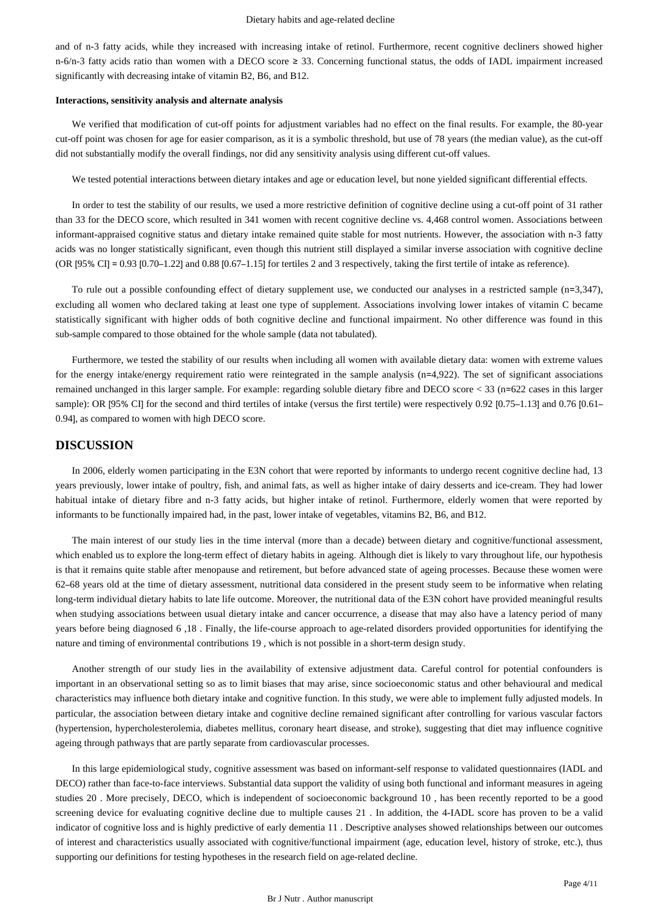and of n-3 fatty acids, while they increased with increasing intake of retinol. Furthermore, recent cognitive decliners showed higher n-6/n-3 fatty acids ratio than women with a DECO score ≥ 33. Concerning functional status, the odds of IADL impairment increased significantly with decreasing intake of vitamin B2, B6, and B12.

#### **Interactions, sensitivity analysis and alternate analysis**

We verified that modification of cut-off points for adjustment variables had no effect on the final results. For example, the 80-year cut-off point was chosen for age for easier comparison, as it is a symbolic threshold, but use of 78 years (the median value), as the cut-off did not substantially modify the overall findings, nor did any sensitivity analysis using different cut-off values.

We tested potential interactions between dietary intakes and age or education level, but none yielded significant differential effects.

In order to test the stability of our results, we used a more restrictive definition of cognitive decline using a cut-off point of 31 rather than 33 for the DECO score, which resulted in 341 women with recent cognitive decline vs. 4,468 control women. Associations between informant-appraised cognitive status and dietary intake remained quite stable for most nutrients. However, the association with n-3 fatty acids was no longer statistically significant, even though this nutrient still displayed a similar inverse association with cognitive decline (OR [95% CI] = 0.93 [0.70–1.22] and 0.88 [0.67–1.15] for tertiles 2 and 3 respectively, taking the first tertile of intake as reference).

To rule out a possible confounding effect of dietary supplement use, we conducted our analyses in a restricted sample (n=3,347), excluding all women who declared taking at least one type of supplement. Associations involving lower intakes of vitamin C became statistically significant with higher odds of both cognitive decline and functional impairment. No other difference was found in this sub-sample compared to those obtained for the whole sample (data not tabulated).

Furthermore, we tested the stability of our results when including all women with available dietary data: women with extreme values for the energy intake/energy requirement ratio were reintegrated in the sample analysis (n=4,922). The set of significant associations remained unchanged in this larger sample. For example: regarding soluble dietary fibre and DECO score < 33 (n=622 cases in this larger sample): OR [95% CI] for the second and third tertiles of intake (versus the first tertile) were respectively 0.92 [0.75–1.13] and 0.76 [0.61– 0.94], as compared to women with high DECO score.

### **DISCUSSION**

In 2006, elderly women participating in the E3N cohort that were reported by informants to undergo recent cognitive decline had, 13 years previously, lower intake of poultry, fish, and animal fats, as well as higher intake of dairy desserts and ice-cream. They had lower habitual intake of dietary fibre and n-3 fatty acids, but higher intake of retinol. Furthermore, elderly women that were reported by informants to be functionally impaired had, in the past, lower intake of vegetables, vitamins B2, B6, and B12.

The main interest of our study lies in the time interval (more than a decade) between dietary and cognitive/functional assessment, which enabled us to explore the long-term effect of dietary habits in ageing. Although diet is likely to vary throughout life, our hypothesis is that it remains quite stable after menopause and retirement, but before advanced state of ageing processes. Because these women were 62–68 years old at the time of dietary assessment, nutritional data considered in the present study seem to be informative when relating long-term individual dietary habits to late life outcome. Moreover, the nutritional data of the E3N cohort have provided meaningful results when studying associations between usual dietary intake and cancer occurrence, a disease that may also have a latency period of many years before being diagnosed 6 ,18 . Finally, the life-course approach to age-related disorders provided opportunities for identifying the nature and timing of environmental contributions 19 , which is not possible in a short-term design study.

Another strength of our study lies in the availability of extensive adjustment data. Careful control for potential confounders is important in an observational setting so as to limit biases that may arise, since socioeconomic status and other behavioural and medical characteristics may influence both dietary intake and cognitive function. In this study, we were able to implement fully adjusted models. In particular, the association between dietary intake and cognitive decline remained significant after controlling for various vascular factors (hypertension, hypercholesterolemia, diabetes mellitus, coronary heart disease, and stroke), suggesting that diet may influence cognitive ageing through pathways that are partly separate from cardiovascular processes.

In this large epidemiological study, cognitive assessment was based on informant-self response to validated questionnaires (IADL and DECO) rather than face-to-face interviews. Substantial data support the validity of using both functional and informant measures in ageing studies 20 . More precisely, DECO, which is independent of socioeconomic background 10 , has been recently reported to be a good screening device for evaluating cognitive decline due to multiple causes 21 . In addition, the 4-IADL score has proven to be a valid indicator of cognitive loss and is highly predictive of early dementia 11 . Descriptive analyses showed relationships between our outcomes of interest and characteristics usually associated with cognitive/functional impairment (age, education level, history of stroke, etc.), thus supporting our definitions for testing hypotheses in the research field on age-related decline.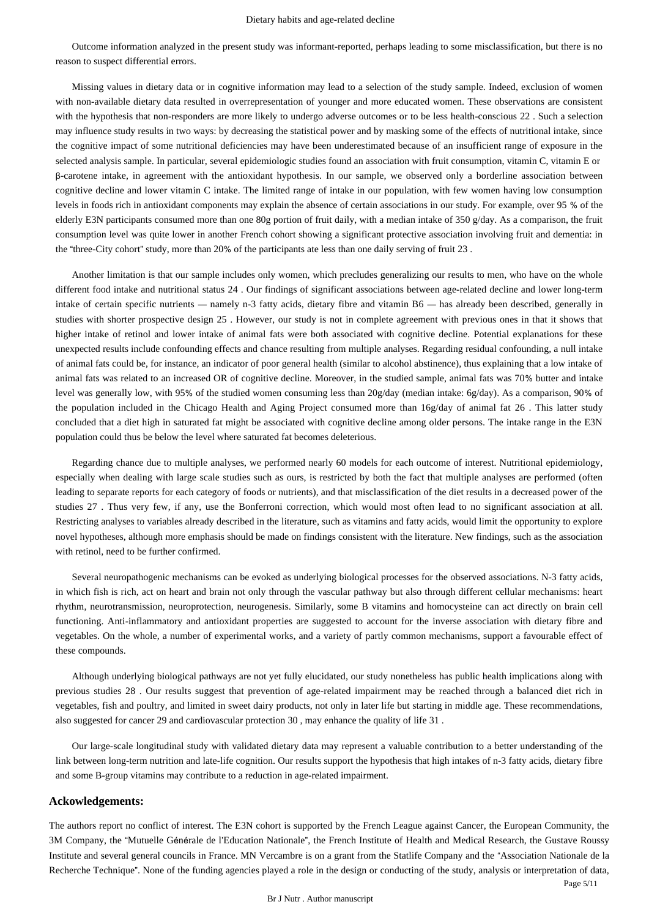Outcome information analyzed in the present study was informant-reported, perhaps leading to some misclassification, but there is no reason to suspect differential errors.

Missing values in dietary data or in cognitive information may lead to a selection of the study sample. Indeed, exclusion of women with non-available dietary data resulted in overrepresentation of younger and more educated women. These observations are consistent with the hypothesis that non-responders are more likely to undergo adverse outcomes or to be less health-conscious 22 . Such a selection may influence study results in two ways: by decreasing the statistical power and by masking some of the effects of nutritional intake, since the cognitive impact of some nutritional deficiencies may have been underestimated because of an insufficient range of exposure in the selected analysis sample. In particular, several epidemiologic studies found an association with fruit consumption, vitamin C, vitamin E or β-carotene intake, in agreement with the antioxidant hypothesis. In our sample, we observed only a borderline association between cognitive decline and lower vitamin C intake. The limited range of intake in our population, with few women having low consumption levels in foods rich in antioxidant components may explain the absence of certain associations in our study. For example, over 95 % of the elderly E3N participants consumed more than one 80g portion of fruit daily, with a median intake of 350 g/day. As a comparison, the fruit consumption level was quite lower in another French cohort showing a significant protective association involving fruit and dementia: in the "three-City cohort" study, more than 20% of the participants ate less than one daily serving of fruit 23 .

Another limitation is that our sample includes only women, which precludes generalizing our results to men, who have on the whole different food intake and nutritional status 24 . Our findings of significant associations between age-related decline and lower long-term intake of certain specific nutrients — namely n-3 fatty acids, dietary fibre and vitamin B6 — has already been described, generally in studies with shorter prospective design 25 . However, our study is not in complete agreement with previous ones in that it shows that higher intake of retinol and lower intake of animal fats were both associated with cognitive decline. Potential explanations for these unexpected results include confounding effects and chance resulting from multiple analyses. Regarding residual confounding, a null intake of animal fats could be, for instance, an indicator of poor general health (similar to alcohol abstinence), thus explaining that a low intake of animal fats was related to an increased OR of cognitive decline. Moreover, in the studied sample, animal fats was 70% butter and intake level was generally low, with 95% of the studied women consuming less than 20g/day (median intake: 6g/day). As a comparison, 90% of the population included in the Chicago Health and Aging Project consumed more than 16g/day of animal fat 26 . This latter study concluded that a diet high in saturated fat might be associated with cognitive decline among older persons. The intake range in the E3N population could thus be below the level where saturated fat becomes deleterious.

Regarding chance due to multiple analyses, we performed nearly 60 models for each outcome of interest. Nutritional epidemiology, especially when dealing with large scale studies such as ours, is restricted by both the fact that multiple analyses are performed (often leading to separate reports for each category of foods or nutrients), and that misclassification of the diet results in a decreased power of the studies 27 . Thus very few, if any, use the Bonferroni correction, which would most often lead to no significant association at all. Restricting analyses to variables already described in the literature, such as vitamins and fatty acids, would limit the opportunity to explore novel hypotheses, although more emphasis should be made on findings consistent with the literature. New findings, such as the association with retinol, need to be further confirmed.

Several neuropathogenic mechanisms can be evoked as underlying biological processes for the observed associations. N-3 fatty acids, in which fish is rich, act on heart and brain not only through the vascular pathway but also through different cellular mechanisms: heart rhythm, neurotransmission, neuroprotection, neurogenesis. Similarly, some B vitamins and homocysteine can act directly on brain cell functioning. Anti-inflammatory and antioxidant properties are suggested to account for the inverse association with dietary fibre and vegetables. On the whole, a number of experimental works, and a variety of partly common mechanisms, support a favourable effect of these compounds.

Although underlying biological pathways are not yet fully elucidated, our study nonetheless has public health implications along with previous studies 28 . Our results suggest that prevention of age-related impairment may be reached through a balanced diet rich in vegetables, fish and poultry, and limited in sweet dairy products, not only in later life but starting in middle age. These recommendations, also suggested for cancer 29 and cardiovascular protection 30 , may enhance the quality of life 31 .

Our large-scale longitudinal study with validated dietary data may represent a valuable contribution to a better understanding of the link between long-term nutrition and late-life cognition. Our results support the hypothesis that high intakes of n-3 fatty acids, dietary fibre and some B-group vitamins may contribute to a reduction in age-related impairment.

#### **Ackowledgements:**

The authors report no conflict of interest. The E3N cohort is supported by the French League against Cancer, the European Community, the 3M Company, the "Mutuelle Générale de l'Education Nationale", the French Institute of Health and Medical Research, the Gustave Roussy Institute and several general councils in France. MN Vercambre is on a grant from the Statlife Company and the "Association Nationale de la Recherche Technique". None of the funding agencies played a role in the design or conducting of the study, analysis or interpretation of data,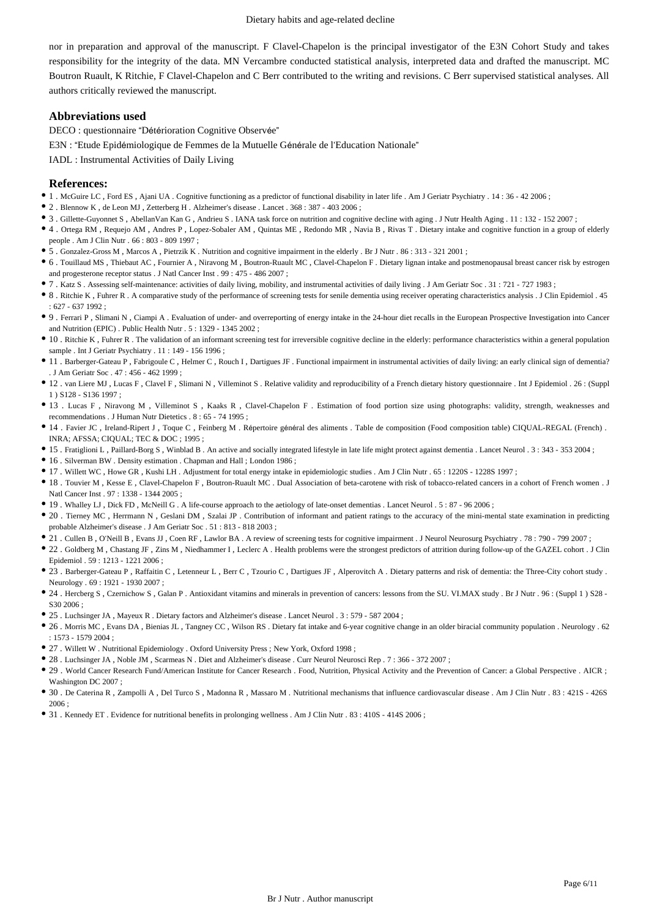nor in preparation and approval of the manuscript. F Clavel-Chapelon is the principal investigator of the E3N Cohort Study and takes responsibility for the integrity of the data. MN Vercambre conducted statistical analysis, interpreted data and drafted the manuscript. MC Boutron Ruault, K Ritchie, F Clavel-Chapelon and C Berr contributed to the writing and revisions. C Berr supervised statistical analyses. All authors critically reviewed the manuscript.

### **Abbreviations used**

DECO : questionnaire "Détérioration Cognitive Observée"

E3N : "Etude Epidémiologique de Femmes de la Mutuelle Générale de l'Education Nationale"

IADL : Instrumental Activities of Daily Living

## **References:**

- 1 . McGuire LC , Ford ES , Ajani UA . Cognitive functioning as a predictor of functional disability in later life . Am J Geriatr Psychiatry . 14 : 36 42 2006 ;
- 2 . Blennow K , de Leon MJ , Zetterberg H . Alzheimer's disease . Lancet . 368 : 387 403 2006 ;
- 3 . Gillette-Guyonnet S , AbellanVan Kan G , Andrieu S . IANA task force on nutrition and cognitive decline with aging . J Nutr Health Aging . 11 : 132 152 2007 ;
- 4 . Ortega RM , Requejo AM , Andres P , Lopez-Sobaler AM , Quintas ME , Redondo MR , Navia B , Rivas T . Dietary intake and cognitive function in a group of elderly people . Am J Clin Nutr . 66 : 803 - 809 1997 ;
- 5 . Gonzalez-Gross M , Marcos A , Pietrzik K . Nutrition and cognitive impairment in the elderly . Br J Nutr . 86 : 313 321 2001 ;
- 6 . Touillaud MS , Thiebaut AC , Fournier A , Niravong M , Boutron-Ruault MC , Clavel-Chapelon F . Dietary lignan intake and postmenopausal breast cancer risk by estrogen and progesterone receptor status . J Natl Cancer Inst . 99 : 475 - 486 2007 ;
- 7 . Katz S . Assessing self-maintenance: activities of daily living, mobility, and instrumental activities of daily living . J Am Geriatr Soc . 31 : 721 727 1983 ;
- 8 . Ritchie K , Fuhrer R . A comparative study of the performance of screening tests for senile dementia using receiver operating characteristics analysis . J Clin Epidemiol . 45 : 627 - 637 1992 ;
- 9 . Ferrari P , Slimani N , Ciampi A . Evaluation of under- and overreporting of energy intake in the 24-hour diet recalls in the European Prospective Investigation into Cancer and Nutrition (EPIC) . Public Health Nutr . 5 : 1329 - 1345 2002 ;
- 10. Ritchie K, Fuhrer R. The validation of an informant screening test for irreversible cognitive decline in the elderly: performance characteristics within a general population sample . Int J Geriatr Psychiatry . 11 : 149 - 156 1996 ;
- 11 . Barberger-Gateau P , Fabrigoule C , Helmer C , Rouch I , Dartigues JF . Functional impairment in instrumental activities of daily living: an early clinical sign of dementia? . J Am Geriatr Soc . 47 : 456 - 462 1999 ;
- 12 . van Liere MJ , Lucas F , Clavel F , Slimani N , Villeminot S . Relative validity and reproducibility of a French dietary history questionnaire . Int J Epidemiol . 26 : (Suppl 1 ) S128 - S136 1997 ;
- 13 . Lucas F , Niravong M , Villeminot S , Kaaks R , Clavel-Chapelon F . Estimation of food portion size using photographs: validity, strength, weaknesses and recommendations . J Human Nutr Dietetics . 8 : 65 - 74 1995 ;
- 14 . Favier JC , Ireland-Ripert J , Toque C , Feinberg M . Répertoire général des aliments . Table de composition (Food composition table) CIQUAL-REGAL (French) . INRA; AFSSA; CIQUAL; TEC & DOC ; 1995 ;
- 15 . Fratiglioni L , Paillard-Borg S , Winblad B . An active and socially integrated lifestyle in late life might protect against dementia . Lancet Neurol . 3 : 343 353 2004 ;
- 16 . Silverman BW . Density estimation . Chapman and Hall ; London 1986 ;
- 17 . Willett WC , Howe GR , Kushi LH . Adjustment for total energy intake in epidemiologic studies . Am J Clin Nutr . 65 : 1220S 1228S 1997 ;
- 18 . Touvier M , Kesse E , Clavel-Chapelon F , Boutron-Ruault MC . Dual Association of beta-carotene with risk of tobacco-related cancers in a cohort of French women . J Natl Cancer Inst . 97 : 1338 - 1344 2005 ;
- 19 . Whalley LJ , Dick FD , McNeill G . A life-course approach to the aetiology of late-onset dementias . Lancet Neurol . 5 : 87 96 2006 ;
- 20 . Tierney MC , Herrmann N , Geslani DM , Szalai JP . Contribution of informant and patient ratings to the accuracy of the mini-mental state examination in predicting probable Alzheimer's disease . J Am Geriatr Soc . 51 : 813 - 818 2003 ;
- 21 . Cullen B , O'Neill B , Evans JJ , Coen RF , Lawlor BA . A review of screening tests for cognitive impairment . J Neurol Neurosurg Psychiatry . 78 : 790 799 2007 ;
- 22 . Goldberg M , Chastang JF , Zins M , Niedhammer I , Leclerc A . Health problems were the strongest predictors of attrition during follow-up of the GAZEL cohort . J Clin Epidemiol . 59 : 1213 - 1221 2006 ;
- 23 . Barberger-Gateau P , Raffaitin C , Letenneur L , Berr C , Tzourio C , Dartigues JF , Alperovitch A . Dietary patterns and risk of dementia: the Three-City cohort study . Neurology . 69 : 1921 - 1930 2007 ·
- 24 . Hercberg S , Czernichow S , Galan P . Antioxidant vitamins and minerals in prevention of cancers: lessons from the SU. VI.MAX study . Br J Nutr . 96 : (Suppl 1 ) S28 S30 2006 ;
- 25 . Luchsinger JA , Mayeux R . Dietary factors and Alzheimer's disease . Lancet Neurol . 3 : 579 587 2004 ;
- 26 . Morris MC , Evans DA , Bienias JL , Tangney CC , Wilson RS . Dietary fat intake and 6-year cognitive change in an older biracial community population . Neurology . 62 : 1573 - 1579 2004 ;
- 27 . Willett W . Nutritional Epidemiology . Oxford University Press ; New York, Oxford 1998 ;
- 28 . Luchsinger JA , Noble JM , Scarmeas N . Diet and Alzheimer's disease . Curr Neurol Neurosci Rep . 7 : 366 372 2007 ;
- 29 . World Cancer Research Fund/American Institute for Cancer Research . Food, Nutrition, Physical Activity and the Prevention of Cancer: a Global Perspective . AICR ; Washington DC 2007 ;
- 30 . De Caterina R , Zampolli A , Del Turco S , Madonna R , Massaro M . Nutritional mechanisms that influence cardiovascular disease . Am J Clin Nutr . 83 : 421S 426S 2006 ;
- 31 . Kennedy ET . Evidence for nutritional benefits in prolonging wellness . Am J Clin Nutr . 83 : 410S 414S 2006 ;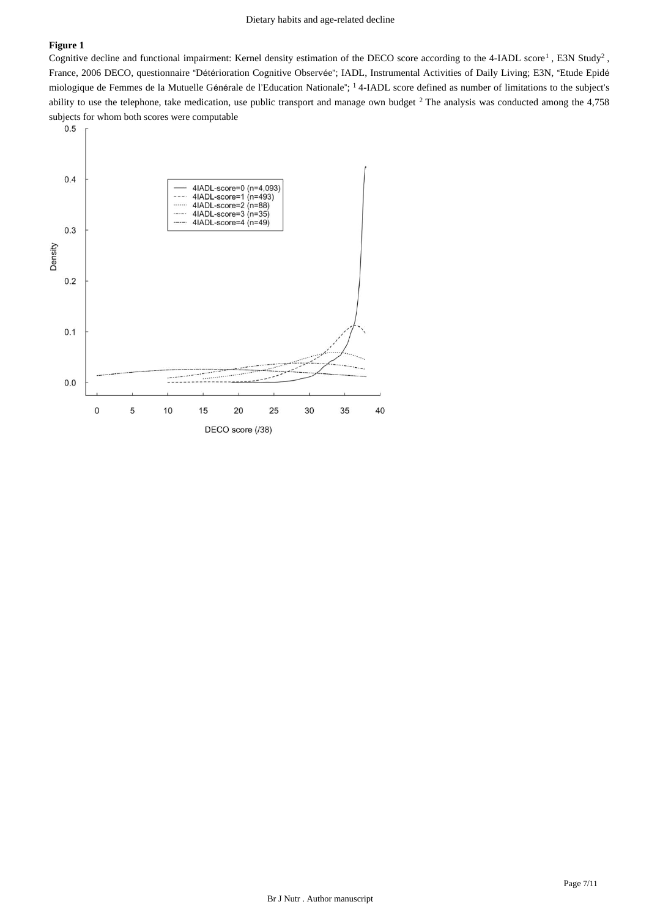## **Figure 1**

Cognitive decline and functional impairment: Kernel density estimation of the DECO score according to the 4-IADL score<sup>1</sup>, E3N Study<sup>2</sup>, France, 2006 DECO, questionnaire "Détérioration Cognitive Observée"; IADL, Instrumental Activities of Daily Living; E3N, "Etude Epidé miologique de Femmes de la Mutuelle Générale de l'Education Nationale"; <sup>1</sup>4-IADL score defined as number of limitations to the subject's ability to use the telephone, take medication, use public transport and manage own budget <sup>2</sup> The analysis was conducted among the 4,758 subjects for whom both scores were computable  $0.5$ 

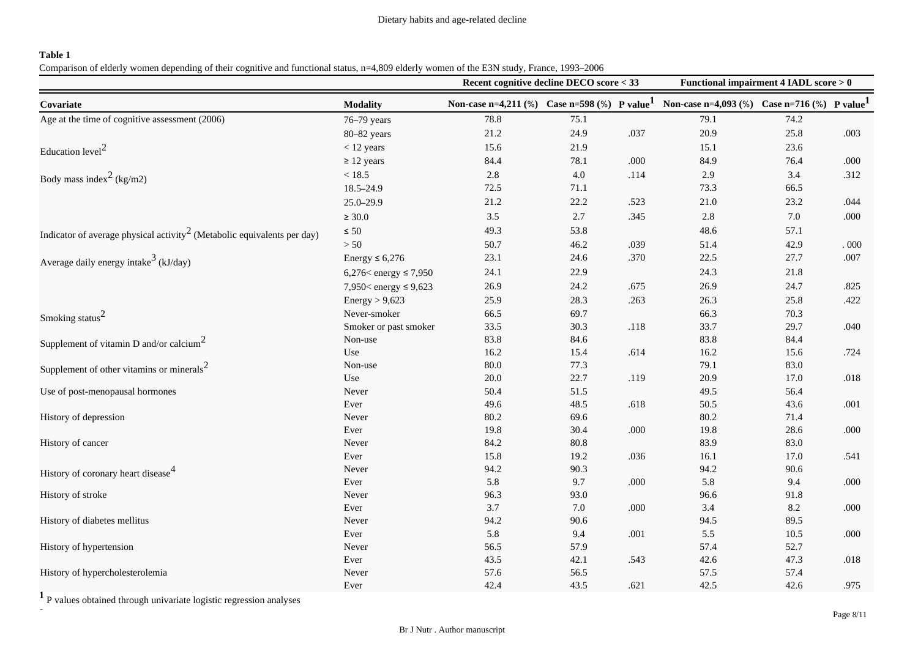## **Table 1**

# Comparison of elderly women depending of their cognitive and functional status, n=4,809 elderly women of the E3N study, France, 1993–2006

|                                                                                     |                              | Recent cognitive decline DECO score < 33 |              |        | Functional impairment 4 IADL score > 0                                                                            |              |            |
|-------------------------------------------------------------------------------------|------------------------------|------------------------------------------|--------------|--------|-------------------------------------------------------------------------------------------------------------------|--------------|------------|
| Covariate                                                                           | <b>Modality</b>              |                                          |              |        | Non-case n=4,211 (%) Case n=598 (%) P value <sup>1</sup> Non-case n=4,093 (%) Case n=716 (%) P value <sup>1</sup> |              |            |
| Age at the time of cognitive assessment (2006)                                      | 76-79 years                  | 78.8                                     | 75.1         |        | 79.1                                                                                                              | 74.2         |            |
|                                                                                     | 80-82 years                  | 21.2                                     | 24.9         | .037   | 20.9                                                                                                              | 25.8         | .003       |
| Education level <sup>2</sup>                                                        | $<$ 12 years                 | 15.6                                     | 21.9         |        | 15.1                                                                                                              | 23.6         |            |
|                                                                                     | $\geq$ 12 years              | 84.4                                     | 78.1         | .000   | 84.9                                                                                                              | 76.4         | .000       |
| Body mass index <sup>2</sup> (kg/m2)                                                | < 18.5                       | 2.8                                      | 4.0          | $.114$ | 2.9                                                                                                               | 3.4          | .312       |
|                                                                                     | $18.5 - 24.9$                | 72.5                                     | 71.1         |        | 73.3                                                                                                              | 66.5         |            |
|                                                                                     | $25.0 - 29.9$                | 21.2                                     | 22.2         | .523   | 21.0                                                                                                              | 23.2         | .044       |
|                                                                                     | $\geq 30.0$                  | 3.5                                      | 2.7          | .345   | 2.8                                                                                                               | 7.0          | .000       |
| Indicator of average physical activity <sup>2</sup> (Metabolic equivalents per day) | $\leq 50$                    | 49.3                                     | 53.8         |        | 48.6                                                                                                              | 57.1         |            |
|                                                                                     | >50                          | 50.7                                     | 46.2         | .039   | 51.4                                                                                                              | 42.9         | $\sim 000$ |
| Average daily energy intake <sup>3</sup> (kJ/day)                                   | Energy $\leq 6,276$          | 23.1                                     | 24.6         | .370   | 22.5                                                                                                              | 27.7         | .007       |
|                                                                                     | $6,276<$ energy $\leq 7,950$ | 24.1                                     | 22.9         |        | 24.3                                                                                                              | 21.8         |            |
|                                                                                     | 7,950< energy $\leq 9,623$   | 26.9                                     | 24.2         | .675   | 26.9                                                                                                              | 24.7         | .825       |
|                                                                                     | Energy $> 9,623$             | 25.9                                     | 28.3         | .263   | 26.3                                                                                                              | 25.8         | .422       |
|                                                                                     | Never-smoker                 | 66.5                                     | 69.7         |        | 66.3                                                                                                              | 70.3         |            |
| Smoking status <sup>2</sup>                                                         | Smoker or past smoker        | 33.5                                     | 30.3         | .118   | 33.7                                                                                                              | 29.7         | .040       |
| Supplement of vitamin D and/or calcium <sup>2</sup>                                 | Non-use                      | 83.8                                     | 84.6         |        | 83.8                                                                                                              | 84.4         |            |
|                                                                                     | Use                          | 16.2                                     | 15.4         | .614   | 16.2                                                                                                              | 15.6         | .724       |
| Supplement of other vitamins or minerals <sup>2</sup>                               | Non-use                      | 80.0                                     | 77.3         |        | 79.1                                                                                                              | 83.0         |            |
|                                                                                     | Use                          | 20.0                                     | 22.7         | .119   | 20.9                                                                                                              | 17.0         | .018       |
| Use of post-menopausal hormones                                                     | Never                        | 50.4                                     | 51.5         |        | 49.5                                                                                                              | 56.4         |            |
|                                                                                     | Ever                         | 49.6                                     | 48.5         | .618   | 50.5                                                                                                              | 43.6         | .001       |
| History of depression                                                               | Never                        | 80.2                                     | 69.6         |        | $80.2\,$                                                                                                          | 71.4         |            |
|                                                                                     | Ever                         | 19.8                                     | 30.4         | .000   | 19.8                                                                                                              | 28.6         | .000       |
| History of cancer                                                                   | Never                        | 84.2                                     | 80.8         |        | 83.9                                                                                                              | 83.0         |            |
|                                                                                     | Ever                         | 15.8                                     | 19.2         | .036   | 16.1                                                                                                              | 17.0         | .541       |
| History of coronary heart disease <sup>4</sup>                                      | Never                        | 94.2                                     | 90.3         |        | 94.2                                                                                                              | 90.6         |            |
|                                                                                     | Ever                         | 5.8                                      | 9.7          | .000   | 5.8                                                                                                               | 9.4          | .000       |
| History of stroke                                                                   | Never                        | 96.3                                     | 93.0         |        | 96.6                                                                                                              | 91.8         |            |
|                                                                                     | Ever                         | 3.7                                      | 7.0          | .000   | 3.4                                                                                                               | 8.2          | .000       |
| History of diabetes mellitus                                                        | Never                        | 94.2                                     | 90.6         |        | 94.5                                                                                                              | 89.5         |            |
|                                                                                     | Ever                         | 5.8                                      | 9.4          | $.001$ | 5.5                                                                                                               | 10.5         | $.000$     |
| History of hypertension                                                             | Never                        | 56.5                                     | 57.9         |        | 57.4                                                                                                              | 52.7         |            |
|                                                                                     | Ever                         | 43.5<br>57.6                             | 42.1<br>56.5 | .543   | 42.6<br>57.5                                                                                                      | 47.3<br>57.4 | .018       |
| History of hypercholesterolemia                                                     | Never                        |                                          |              |        |                                                                                                                   |              |            |
|                                                                                     | Ever                         | 42.4                                     | 43.5         | .621   | 42.5                                                                                                              | 42.6         | .975       |

**<sup>1</sup>**P values obtained through univariate logistic regression analyses

**<sup>2</sup>**Missing values replaced by most frequent modality (variables with less than 5 % missing values)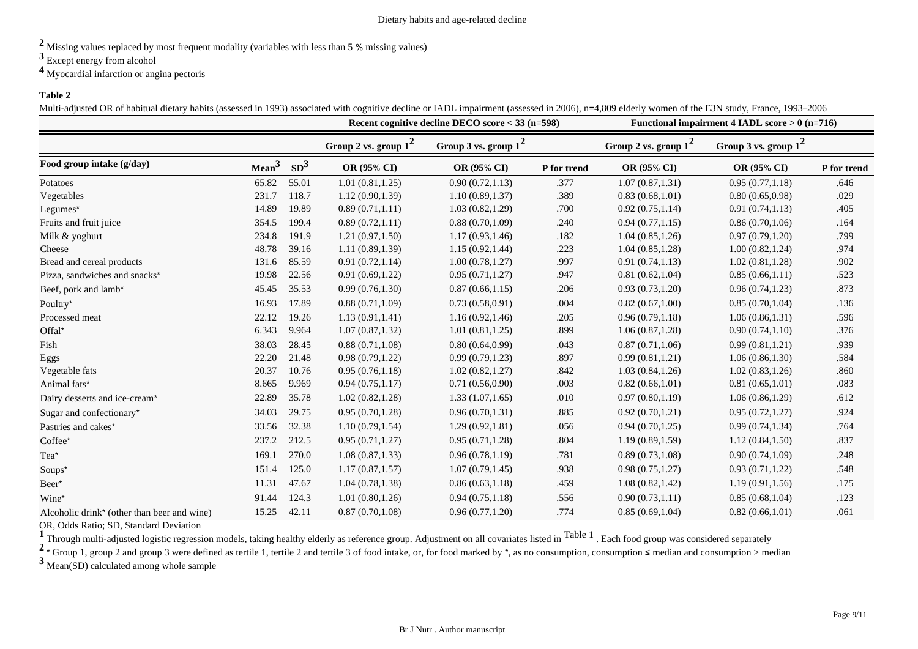<sup>2</sup>Missing values replaced by most frequent modality (variables with less than 5 % missing values)

**3**Except energy from alcohol

**<sup>4</sup>**Myocardial infarction or angina pectoris

# **Table 2**

Multi-adjusted OR of habitual dietary habits (assessed in 1993) associated with cognitive decline or IADL impairment (assessed in 2006), n=4,809 elderly women of the E3N study, France, 1993–2006

|                                             |                   |                 | Recent cognitive decline DECO score < 33 (n=598) |                         |             | Functional impairment 4 IADL score $> 0$ (n=716) |                         |             |  |
|---------------------------------------------|-------------------|-----------------|--------------------------------------------------|-------------------------|-------------|--------------------------------------------------|-------------------------|-------------|--|
|                                             |                   |                 | Group 2 vs. group $1^2$                          | Group 3 vs. group $1^2$ |             | Group 2 vs. group $1^2$                          | Group 3 vs. group $1^2$ |             |  |
| Food group intake (g/day)                   | Mean <sup>3</sup> | SD <sup>3</sup> | OR (95% CI)                                      | <b>OR (95% CI)</b>      | P for trend | <b>OR (95% CI)</b>                               | <b>OR (95% CI)</b>      | P for trend |  |
| Potatoes                                    | 65.82             | 55.01           | 1.01(0.81, 1.25)                                 | 0.90(0.72, 1.13)        | .377        | 1.07(0.87, 1.31)                                 | 0.95(0.77,1.18)         | .646        |  |
| Vegetables                                  | 231.7             | 118.7           | 1.12(0.90, 1.39)                                 | 1.10(0.89, 1.37)        | .389        | 0.83(0.68, 1.01)                                 | 0.80(0.65,0.98)         | .029        |  |
| Legumes*                                    | 14.89             | 19.89           | 0.89(0.71, 1.11)                                 | 1.03(0.82, 1.29)        | .700        | 0.92(0.75, 1.14)                                 | 0.91(0.74, 1.13)        | .405        |  |
| Fruits and fruit juice                      | 354.5             | 199.4           | 0.89(0.72, 1.11)                                 | 0.88(0.70, 1.09)        | .240        | 0.94(0.77,1.15)                                  | 0.86(0.70, 1.06)        | .164        |  |
| Milk & yoghurt                              | 234.8             | 191.9           | 1.21(0.97, 1.50)                                 | 1.17(0.93, 1.46)        | .182        | 1.04(0.85, 1.26)                                 | 0.97(0.79, 1.20)        | .799        |  |
| Cheese                                      | 48.78             | 39.16           | 1.11(0.89, 1.39)                                 | 1.15(0.92, 1.44)        | .223        | 1.04(0.85, 1.28)                                 | 1.00(0.82, 1.24)        | .974        |  |
| Bread and cereal products                   | 131.6             | 85.59           | 0.91(0.72, 1.14)                                 | 1.00(0.78, 1.27)        | .997        | 0.91(0.74, 1.13)                                 | 1.02(0.81, 1.28)        | .902        |  |
| Pizza, sandwiches and snacks*               | 19.98             | 22.56           | 0.91(0.69, 1.22)                                 | 0.95(0.71, 1.27)        | .947        | 0.81(0.62, 1.04)                                 | 0.85(0.66, 1.11)        | .523        |  |
| Beef, pork and lamb*                        | 45.45             | 35.53           | 0.99(0.76, 1.30)                                 | 0.87(0.66, 1.15)        | .206        | 0.93(0.73, 1.20)                                 | 0.96(0.74, 1.23)        | .873        |  |
| Poultry*                                    | 16.93             | 17.89           | 0.88(0.71, 1.09)                                 | 0.73(0.58,0.91)         | .004        | 0.82(0.67, 1.00)                                 | 0.85(0.70, 1.04)        | .136        |  |
| Processed meat                              | 22.12             | 19.26           | 1.13(0.91, 1.41)                                 | 1.16(0.92, 1.46)        | .205        | 0.96(0.79, 1.18)                                 | 1.06(0.86, 1.31)        | .596        |  |
| Offal*                                      | 6.343             | 9.964           | 1.07(0.87, 1.32)                                 | 1.01(0.81, 1.25)        | .899        | 1.06(0.87, 1.28)                                 | 0.90(0.74, 1.10)        | .376        |  |
| Fish                                        | 38.03             | 28.45           | 0.88(0.71, 1.08)                                 | 0.80(0.64, 0.99)        | .043        | 0.87(0.71, 1.06)                                 | 0.99(0.81, 1.21)        | .939        |  |
| Eggs                                        | 22.20             | 21.48           | 0.98(0.79, 1.22)                                 | 0.99(0.79, 1.23)        | .897        | 0.99(0.81, 1.21)                                 | 1.06(0.86, 1.30)        | .584        |  |
| Vegetable fats                              | 20.37             | 10.76           | 0.95(0.76, 1.18)                                 | 1.02(0.82, 1.27)        | .842        | 1.03(0.84, 1.26)                                 | 1.02(0.83, 1.26)        | .860        |  |
| Animal fats*                                | 8.665             | 9.969           | 0.94(0.75,1.17)                                  | 0.71(0.56, 0.90)        | .003        | 0.82(0.66, 1.01)                                 | 0.81(0.65, 1.01)        | .083        |  |
| Dairy desserts and ice-cream*               | 22.89             | 35.78           | 1.02(0.82, 1.28)                                 | 1.33(1.07, 1.65)        | .010        | 0.97(0.80, 1.19)                                 | 1.06(0.86, 1.29)        | .612        |  |
| Sugar and confectionary*                    | 34.03             | 29.75           | 0.95(0.70, 1.28)                                 | 0.96(0.70, 1.31)        | .885        | 0.92(0.70, 1.21)                                 | 0.95(0.72, 1.27)        | .924        |  |
| Pastries and cakes*                         | 33.56             | 32.38           | 1.10(0.79, 1.54)                                 | 1.29(0.92, 1.81)        | .056        | 0.94(0.70, 1.25)                                 | 0.99(0.74, 1.34)        | .764        |  |
| Coffee*                                     | 237.2             | 212.5           | 0.95(0.71, 1.27)                                 | 0.95(0.71, 1.28)        | .804        | 1.19(0.89, 1.59)                                 | 1.12(0.84, 1.50)        | .837        |  |
| Tea*                                        | 169.1             | 270.0           | 1.08(0.87, 1.33)                                 | 0.96(0.78, 1.19)        | .781        | 0.89(0.73, 1.08)                                 | 0.90(0.74, 1.09)        | .248        |  |
| Soups*                                      | 151.4             | 125.0           | 1.17(0.87, 1.57)                                 | 1.07(0.79, 1.45)        | .938        | 0.98(0.75, 1.27)                                 | 0.93(0.71, 1.22)        | .548        |  |
| Beer*                                       | 11.31             | 47.67           | 1.04(0.78, 1.38)                                 | 0.86(0.63, 1.18)        | .459        | 1.08(0.82, 1.42)                                 | 1.19(0.91, 1.56)        | .175        |  |
| Wine*                                       | 91.44             | 124.3           | 1.01(0.80, 1.26)                                 | 0.94(0.75, 1.18)        | .556        | 0.90(0.73,1.11)                                  | 0.85(0.68, 1.04)        | .123        |  |
| Alcoholic drink* (other than beer and wine) | 15.25             | 42.11           | 0.87(0.70, 1.08)                                 | 0.96(0.77, 1.20)        | .774        | 0.85(0.69, 1.04)                                 | 0.82(0.66, 1.01)        | .061        |  |

OR, Odds Ratio; SD, Standard Deviation

**1**Through multi-adjusted logistic regression models, taking healthy elderly as reference group. Adjustment on all covariates listed in <sup>Table 1</sup>. Each food group was considered separately

2 \* Group 1, group 2 and group 3 were defined as tertile 1, tertile 2 and tertile 3 of food intake, or, for food marked by \*, as no consumption, consumption ≤ median and consumption > median

**<sup>3</sup>**Mean(SD) calculated among whole sample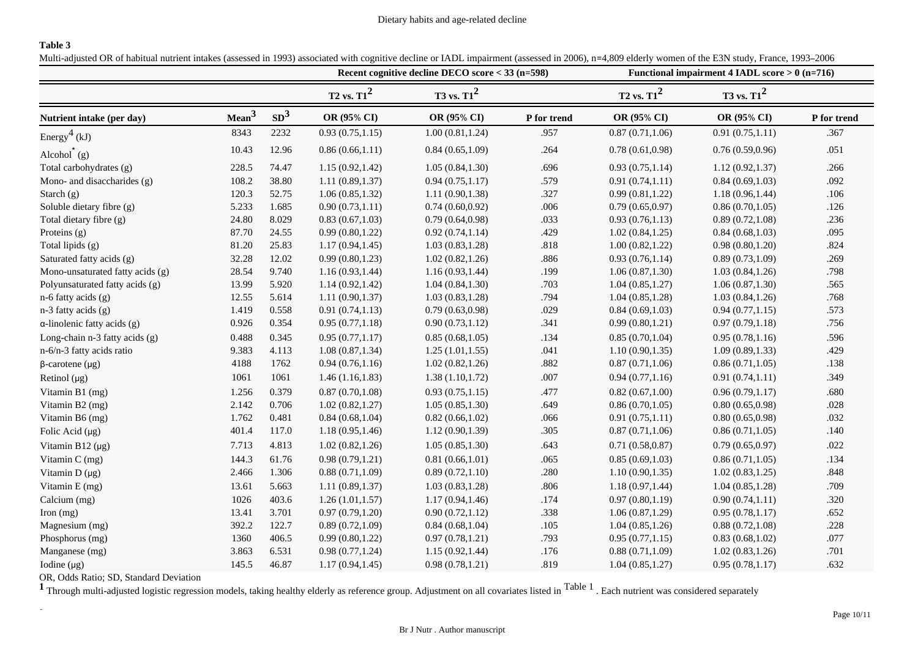**Table 3**

Multi-adjusted OR of habitual nutrient intakes (assessed in 1993) associated with cognitive decline or IADL impairment (assessed in 2006), n=4,809 elderly women of the E3N study, France, 1993-2006

|                                  |                   |                 | Recent cognitive decline DECO score $<$ 33 (n=598) |                  |             | Functional impairment 4 IADL score $> 0$ (n=716) |                  |             |  |
|----------------------------------|-------------------|-----------------|----------------------------------------------------|------------------|-------------|--------------------------------------------------|------------------|-------------|--|
|                                  |                   |                 | $T2$ vs. $T1^2$                                    | $T3$ vs. $T1^2$  |             | $T2$ vs. $T1^2$                                  | $T3$ vs. $T1^2$  |             |  |
| Nutrient intake (per day)        | Mean <sup>3</sup> | SD <sup>3</sup> | OR (95% CI)                                        | OR (95% CI)      | P for trend | OR (95% CI)                                      | OR (95% CI)      | P for trend |  |
| Energy <sup>4</sup> (kJ)         | 8343              | 2232            | 0.93(0.75, 1.15)                                   | 1.00(0.81, 1.24) | .957        | 0.87(0.71, 1.06)                                 | 0.91(0.75, 1.11) | .367        |  |
| Alcohol $(g)$                    | 10.43             | 12.96           | 0.86(0.66, 1.11)                                   | 0.84(0.65,1.09)  | .264        | 0.78(0.61, 0.98)                                 | 0.76(0.59, 0.96) | .051        |  |
| Total carbohydrates (g)          | 228.5             | 74.47           | 1.15(0.92, 1.42)                                   | 1.05(0.84, 1.30) | .696        | 0.93(0.75, 1.14)                                 | 1.12(0.92, 1.37) | .266        |  |
| Mono- and disaccharides (g)      | 108.2             | 38.80           | 1.11(0.89, 1.37)                                   | 0.94(0.75, 1.17) | .579        | 0.91(0.74, 1.11)                                 | 0.84(0.69, 1.03) | .092        |  |
| Starch $(g)$                     | 120.3             | 52.75           | 1.06(0.85, 1.32)                                   | 1.11(0.90, 1.38) | .327        | 0.99(0.81, 1.22)                                 | 1.18(0.96, 1.44) | .106        |  |
| Soluble dietary fibre (g)        | 5.233             | 1.685           | 0.90(0.73, 1.11)                                   | 0.74(0.60, 0.92) | .006        | 0.79(0.65, 0.97)                                 | 0.86(0.70, 1.05) | .126        |  |
| Total dietary fibre (g)          | 24.80             | 8.029           | 0.83(0.67, 1.03)                                   | 0.79(0.64, 0.98) | .033        | 0.93(0.76, 1.13)                                 | 0.89(0.72, 1.08) | .236        |  |
| Proteins $(g)$                   | 87.70             | 24.55           | 0.99(0.80, 1.22)                                   | 0.92(0.74, 1.14) | .429        | 1.02(0.84, 1.25)                                 | 0.84(0.68, 1.03) | .095        |  |
| Total lipids (g)                 | 81.20             | 25.83           | 1.17(0.94, 1.45)                                   | 1.03(0.83, 1.28) | .818        | 1.00(0.82, 1.22)                                 | 0.98(0.80, 1.20) | .824        |  |
| Saturated fatty acids (g)        | 32.28             | 12.02           | 0.99(0.80, 1.23)                                   | 1.02(0.82, 1.26) | .886        | 0.93(0.76, 1.14)                                 | 0.89(0.73,1.09)  | .269        |  |
| Mono-unsaturated fatty acids (g) | 28.54             | 9.740           | 1.16(0.93, 1.44)                                   | 1.16(0.93, 1.44) | .199        | 1.06(0.87, 1.30)                                 | 1.03(0.84, 1.26) | .798        |  |
| Polyunsaturated fatty acids (g)  | 13.99             | 5.920           | 1.14(0.92, 1.42)                                   | 1.04(0.84, 1.30) | .703        | 1.04(0.85, 1.27)                                 | 1.06(0.87, 1.30) | .565        |  |
| n-6 fatty acids (g)              | 12.55             | 5.614           | 1.11(0.90, 1.37)                                   | 1.03(0.83, 1.28) | .794        | 1.04(0.85, 1.28)                                 | 1.03(0.84, 1.26) | .768        |  |
| n-3 fatty acids (g)              | 1.419             | 0.558           | 0.91(0.74, 1.13)                                   | 0.79(0.63,0.98)  | .029        | 0.84(0.69, 1.03)                                 | 0.94(0.77, 1.15) | .573        |  |
| a-linolenic fatty acids (g)      | 0.926             | 0.354           | 0.95(0.77,1.18)                                    | 0.90(0.73, 1.12) | .341        | 0.99(0.80, 1.21)                                 | 0.97(0.79, 1.18) | .756        |  |
| Long-chain n-3 fatty acids (g)   | 0.488             | 0.345           | 0.95(0.77, 1.17)                                   | 0.85(0.68, 1.05) | .134        | 0.85(0.70, 1.04)                                 | 0.95(0.78, 1.16) | .596        |  |
| n-6/n-3 fatty acids ratio        | 9.383             | 4.113           | 1.08(0.87, 1.34)                                   | 1.25(1.01, 1.55) | .041        | 1.10(0.90, 1.35)                                 | 1.09(0.89, 1.33) | .429        |  |
| $\beta$ -carotene (µg)           | 4188              | 1762            | 0.94(0.76, 1.16)                                   | 1.02(0.82, 1.26) | .882        | 0.87(0.71, 1.06)                                 | 0.86(0.71, 1.05) | .138        |  |
| Retinol $(\mu g)$                | 1061              | 1061            | 1.46(1.16, 1.83)                                   | 1.38(1.10, 1.72) | .007        | 0.94(0.77, 1.16)                                 | 0.91(0.74, 1.11) | .349        |  |
| Vitamin B1 (mg)                  | 1.256             | 0.379           | 0.87(0.70, 1.08)                                   | 0.93(0.75, 1.15) | .477        | 0.82(0.67, 1.00)                                 | 0.96(0.79,1.17)  | .680        |  |
| Vitamin B2 (mg)                  | 2.142             | 0.706           | 1.02(0.82, 1.27)                                   | 1.05(0.85, 1.30) | .649        | 0.86(0.70, 1.05)                                 | 0.80(0.65, 0.98) | .028        |  |
| Vitamin B6 (mg)                  | 1.762             | 0.481           | 0.84(0.68, 1.04)                                   | 0.82(0.66, 1.02) | .066        | 0.91(0.75,1.11)                                  | 0.80(0.65, 0.98) | .032        |  |
| Folic Acid $(\mu g)$             | 401.4             | 117.0           | 1.18(0.95, 1.46)                                   | 1.12(0.90, 1.39) | .305        | 0.87(0.71, 1.06)                                 | 0.86(0.71, 1.05) | .140        |  |
| Vitamin B12 $(\mu g)$            | 7.713             | 4.813           | 1.02(0.82, 1.26)                                   | 1.05(0.85, 1.30) | .643        | 0.71(0.58, 0.87)                                 | 0.79(0.65, 0.97) | .022        |  |
| Vitamin C (mg)                   | 144.3             | 61.76           | 0.98(0.79, 1.21)                                   | 0.81(0.66, 1.01) | .065        | 0.85(0.69, 1.03)                                 | 0.86(0.71, 1.05) | .134        |  |
| Vitamin $D(\mu g)$               | 2.466             | 1.306           | 0.88(0.71, 1.09)                                   | 0.89(0.72, 1.10) | .280        | 1.10(0.90, 1.35)                                 | 1.02(0.83, 1.25) | .848        |  |
| Vitamin E (mg)                   | 13.61             | 5.663           | 1.11(0.89, 1.37)                                   | 1.03(0.83, 1.28) | $.806$      | 1.18(0.97, 1.44)                                 | 1.04(0.85, 1.28) | .709        |  |
| Calcium (mg)                     | 1026              | 403.6           | 1.26(1.01, 1.57)                                   | 1.17(0.94, 1.46) | .174        | 0.97(0.80, 1.19)                                 | 0.90(0.74, 1.11) | .320        |  |
| Iron $(mg)$                      | 13.41             | 3.701           | 0.97(0.79, 1.20)                                   | 0.90(0.72, 1.12) | .338        | 1.06(0.87, 1.29)                                 | 0.95(0.78,1.17)  | .652        |  |
| Magnesium (mg)                   | 392.2             | 122.7           | 0.89(0.72, 1.09)                                   | 0.84(0.68, 1.04) | .105        | 1.04(0.85, 1.26)                                 | 0.88(0.72, 1.08) | .228        |  |
| Phosphorus (mg)                  | 1360              | 406.5           | 0.99(0.80, 1.22)                                   | 0.97(0.78, 1.21) | .793        | 0.95(0.77,1.15)                                  | 0.83(0.68, 1.02) | .077        |  |
| Manganese (mg)                   | 3.863             | 6.531           | 0.98(0.77, 1.24)                                   | 1.15(0.92, 1.44) | .176        | 0.88(0.71, 1.09)                                 | 1.02(0.83, 1.26) | .701        |  |
| Iodine $(\mu g)$                 | 145.5             | 46.87           | 1.17(0.94, 1.45)                                   | 0.98(0.78, 1.21) | .819        | 1.04(0.85, 1.27)                                 | 0.95(0.78,1.17)  | .632        |  |

OR, Odds Ratio; SD, Standard Deviation

**<sup>2</sup>**T1, T2, T3 for tertile 1, tertile 2 and tertile 3 of intake residuals on energy (except for alcohol: see \*)

1 Through multi-adjusted logistic regression models, taking healthy elderly as reference group. Adjustment on all covariates listed in <sup>Table 1</sup>. Each nutrient was considered separately